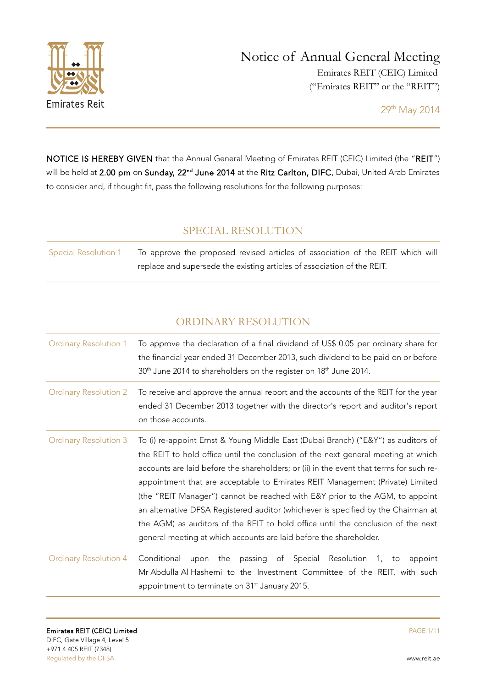

NOTICE IS HEREBY GIVEN that the Annual General Meeting of Emirates REIT (CEIC) Limited (the "REIT") will be held at 2.00 pm on Sunday, 22<sup>nd</sup> June 2014 at the Ritz Carlton, DIFC, Dubai, United Arab Emirates to consider and, if thought fit, pass the following resolutions for the following purposes:

## SPECIAL RESOLUTION

| <b>Special Resolution 1</b> | To approve the proposed revised articles of association of the REIT which will |
|-----------------------------|--------------------------------------------------------------------------------|
|                             | replace and supersede the existing articles of association of the REIT.        |

# ORDINARY RESOLUTION

| <b>Ordinary Resolution 1</b> | To approve the declaration of a final dividend of US\$ 0.05 per ordinary share for<br>the financial year ended 31 December 2013, such dividend to be paid on or before<br>30 <sup>th</sup> June 2014 to shareholders on the register on 18 <sup>th</sup> June 2014.                                                                                                                                                                                                                                                                                                                                                                                                               |
|------------------------------|-----------------------------------------------------------------------------------------------------------------------------------------------------------------------------------------------------------------------------------------------------------------------------------------------------------------------------------------------------------------------------------------------------------------------------------------------------------------------------------------------------------------------------------------------------------------------------------------------------------------------------------------------------------------------------------|
| <b>Ordinary Resolution 2</b> | To receive and approve the annual report and the accounts of the REIT for the year<br>ended 31 December 2013 together with the director's report and auditor's report<br>on those accounts.                                                                                                                                                                                                                                                                                                                                                                                                                                                                                       |
| <b>Ordinary Resolution 3</b> | To (i) re-appoint Ernst & Young Middle East (Dubai Branch) ("E&Y") as auditors of<br>the REIT to hold office until the conclusion of the next general meeting at which<br>accounts are laid before the shareholders; or (ii) in the event that terms for such re-<br>appointment that are acceptable to Emirates REIT Management (Private) Limited<br>(the "REIT Manager") cannot be reached with E&Y prior to the AGM, to appoint<br>an alternative DFSA Registered auditor (whichever is specified by the Chairman at<br>the AGM) as auditors of the REIT to hold office until the conclusion of the next<br>general meeting at which accounts are laid before the shareholder. |
| <b>Ordinary Resolution 4</b> | Conditional<br>of Special Resolution<br>the passing<br>upon<br>1, to<br>appoint<br>Mr Abdulla Al Hashemi to the Investment Committee of the REIT, with such<br>appointment to terminate on 31 <sup>st</sup> January 2015.                                                                                                                                                                                                                                                                                                                                                                                                                                                         |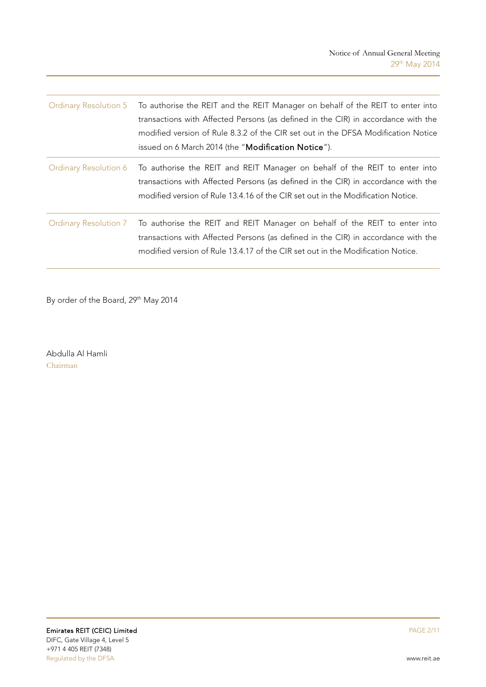|                              | Ordinary Resolution 5 To authorise the REIT and the REIT Manager on behalf of the REIT to enter into<br>transactions with Affected Persons (as defined in the CIR) in accordance with the<br>modified version of Rule 8.3.2 of the CIR set out in the DFSA Modification Notice<br>issued on 6 March 2014 (the "Modification Notice"). |
|------------------------------|---------------------------------------------------------------------------------------------------------------------------------------------------------------------------------------------------------------------------------------------------------------------------------------------------------------------------------------|
| <b>Ordinary Resolution 6</b> | To authorise the REIT and REIT Manager on behalf of the REIT to enter into<br>transactions with Affected Persons (as defined in the CIR) in accordance with the<br>modified version of Rule 13.4.16 of the CIR set out in the Modification Notice.                                                                                    |
| Ordinary Resolution 7        | To authorise the REIT and REIT Manager on behalf of the REIT to enter into<br>transactions with Affected Persons (as defined in the CIR) in accordance with the<br>modified version of Rule 13.4.17 of the CIR set out in the Modification Notice.                                                                                    |

By order of the Board, 29<sup>th</sup> May 2014

Abdulla Al Hamli Chairman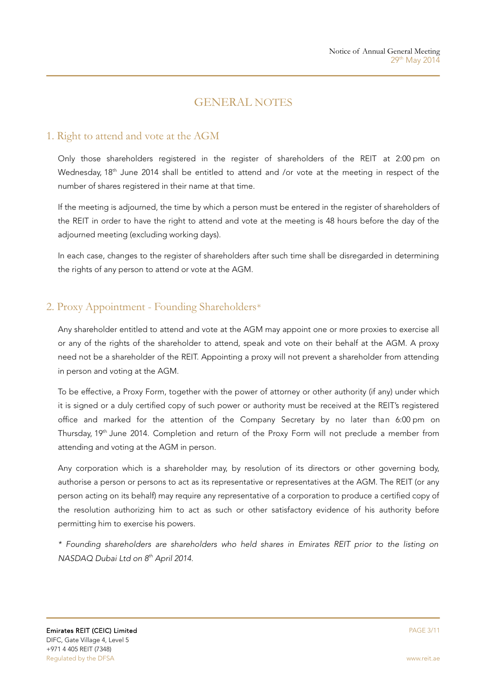# GENERAL NOTES

### 1. Right to attend and vote at the AGM

Only those shareholders registered in the register of shareholders of the REIT at 2:00 pm on Wednesday, 18<sup>th</sup> June 2014 shall be entitled to attend and /or vote at the meeting in respect of the number of shares registered in their name at that time.

If the meeting is adjourned, the time by which a person must be entered in the register of shareholders of the REIT in order to have the right to attend and vote at the meeting is 48 hours before the day of the adjourned meeting (excluding working days).

In each case, changes to the register of shareholders after such time shall be disregarded in determining the rights of any person to attend or vote at the AGM.

# 2. Proxy Appointment - Founding Shareholders\*

Any shareholder entitled to attend and vote at the AGM may appoint one or more proxies to exercise all or any of the rights of the shareholder to attend, speak and vote on their behalf at the AGM. A proxy need not be a shareholder of the REIT. Appointing a proxy will not prevent a shareholder from attending in person and voting at the AGM.

To be effective, a Proxy Form, together with the power of attorney or other authority (if any) under which it is signed or a duly certified copy of such power or authority must be received at the REIT's registered office and marked for the attention of the Company Secretary by no later than 6:00 pm on Thursday, 19<sup>th</sup> June 2014. Completion and return of the Proxy Form will not preclude a member from attending and voting at the AGM in person.

Any corporation which is a shareholder may, by resolution of its directors or other governing body, authorise a person or persons to act as its representative or representatives at the AGM. The REIT (or any person acting on its behalf) may require any representative of a corporation to produce a certified copy of the resolution authorizing him to act as such or other satisfactory evidence of his authority before permitting him to exercise his powers.

\* Founding shareholders are shareholders who held shares in Emirates REIT prior to the listing on NASDAQ Dubai Ltd on 8<sup>th</sup> April 2014.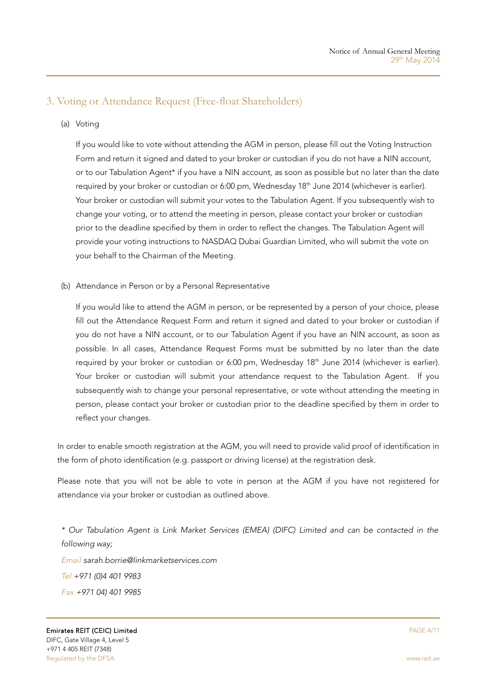## 3. Voting or Attendance Request (Free-float Shareholders)

(a) Voting

If you would like to vote without attending the AGM in person, please fill out the Voting Instruction Form and return it signed and dated to your broker or custodian if you do not have a NIN account, or to our Tabulation Agent\* if you have a NIN account, as soon as possible but no later than the date required by your broker or custodian or 6:00 pm, Wednesday 18<sup>th</sup> June 2014 (whichever is earlier). Your broker or custodian will submit your votes to the Tabulation Agent. If you subsequently wish to change your voting, or to attend the meeting in person, please contact your broker or custodian prior to the deadline specified by them in order to reflect the changes. The Tabulation Agent will provide your voting instructions to NASDAQ Dubai Guardian Limited, who will submit the vote on your behalf to the Chairman of the Meeting.

(b) Attendance in Person or by a Personal Representative

If you would like to attend the AGM in person, or be represented by a person of your choice, please fill out the Attendance Request Form and return it signed and dated to your broker or custodian if you do not have a NIN account, or to our Tabulation Agent if you have an NIN account, as soon as possible. In all cases, Attendance Request Forms must be submitted by no later than the date required by your broker or custodian or 6:00 pm, Wednesday 18<sup>th</sup> June 2014 (whichever is earlier). Your broker or custodian will submit your attendance request to the Tabulation Agent. If you subsequently wish to change your personal representative, or vote without attending the meeting in person, please contact your broker or custodian prior to the deadline specified by them in order to reflect your changes.

In order to enable smooth registration at the AGM, you will need to provide valid proof of identification in the form of photo identification (e.g. passport or driving license) at the registration desk.

Please note that you will not be able to vote in person at the AGM if you have not registered for attendance via your broker or custodian as outlined above.

\* Our Tabulation Agent is Link Market Services (EMEA) (DIFC) Limited and can be contacted in the following way; Email [sarah.borrie@linkmarketservices.com](mailto:sarah.borrie@linkmarketservices.com) Tel +971 (0)4 401 9983 Fax +971 04) 401 9985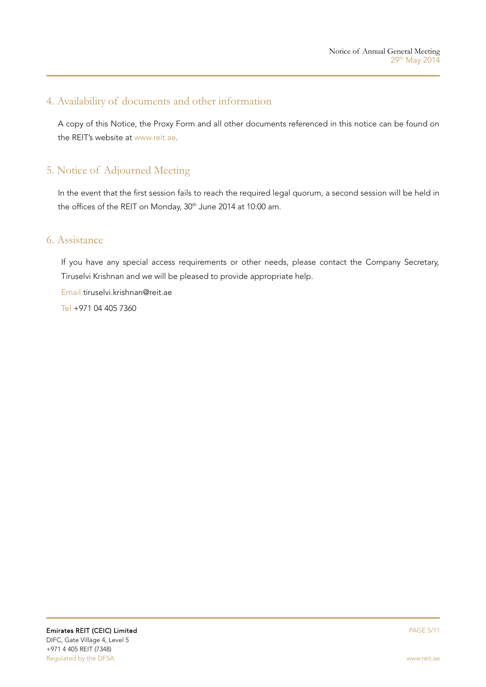## 4. Availability of documents and other information

A copy of this Notice, the Proxy Form and all other documents referenced in this notice can be found on the REIT's website at www.reit.ae.

## 5. Notice of Adjourned Meeting

In the event that the first session fails to reach the required legal quorum, a second session will be held in the offices of the REIT on Monday, 30<sup>th</sup> June 2014 at 10:00 am.

### 6. Assistance

If you have any special access requirements or other needs, please contact the Company Secretary, Tiruselvi Krishnan and we will be pleased to provide appropriate help.

Email [tiruselvi.krishnan@reit.ae](mailto:tiruselvi.krishnan@reit.ae)

Tel +971 04 405 7360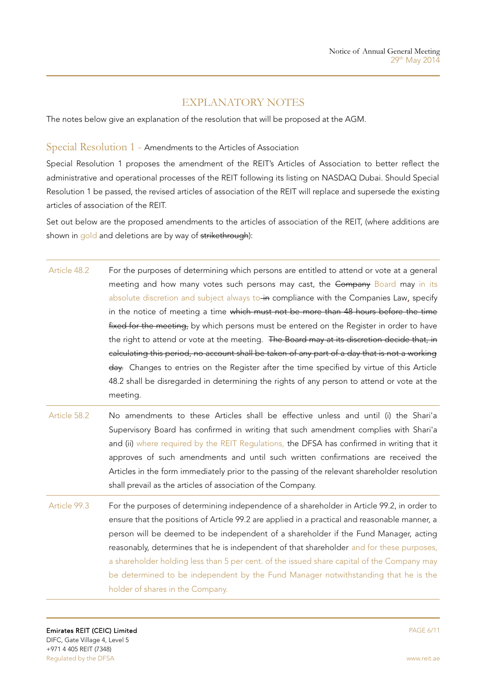## EXPLANATORY NOTES

The notes below give an explanation of the resolution that will be proposed at the AGM.

#### Special Resolution 1 - Amendments to the Articles of Association

Special Resolution 1 proposes the amendment of the REIT's Articles of Association to better reflect the administrative and operational processes of the REIT following its listing on NASDAQ Dubai. Should Special Resolution 1 be passed, the revised articles of association of the REIT will replace and supersede the existing articles of association of the REIT.

Set out below are the proposed amendments to the articles of association of the REIT, (where additions are shown in gold and deletions are by way of strikethrough):

- Article 48.2 For the purposes of determining which persons are entitled to attend or vote at a general meeting and how many votes such persons may cast, the Company Board may in its absolute discretion and subject always to in compliance with the Companies Law, specify in the notice of meeting a time which must not be more than 48 hours before the time fixed for the meeting, by which persons must be entered on the Register in order to have the right to attend or vote at the meeting. The Board may at its discretion decide that, in calculating this period, no account shall be taken of any part of a day that is not a working day. Changes to entries on the Register after the time specified by virtue of this Article 48.2 shall be disregarded in determining the rights of any person to attend or vote at the meeting.
- Article 58.2 No amendments to these Articles shall be effective unless and until (i) the Shari'a Supervisory Board has confirmed in writing that such amendment complies with Shari'a and (ii) where required by the REIT Regulations, the DFSA has confirmed in writing that it approves of such amendments and until such written confirmations are received the Articles in the form immediately prior to the passing of the relevant shareholder resolution shall prevail as the articles of association of the Company.
- Article 99.3 For the purposes of determining independence of a shareholder in Article 99.2, in order to ensure that the positions of Article 99.2 are applied in a practical and reasonable manner, a person will be deemed to be independent of a shareholder if the Fund Manager, acting reasonably, determines that he is independent of that shareholder and for these purposes, a shareholder holding less than 5 per cent. of the issued share capital of the Company may be determined to be independent by the Fund Manager notwithstanding that he is the holder of shares in the Company.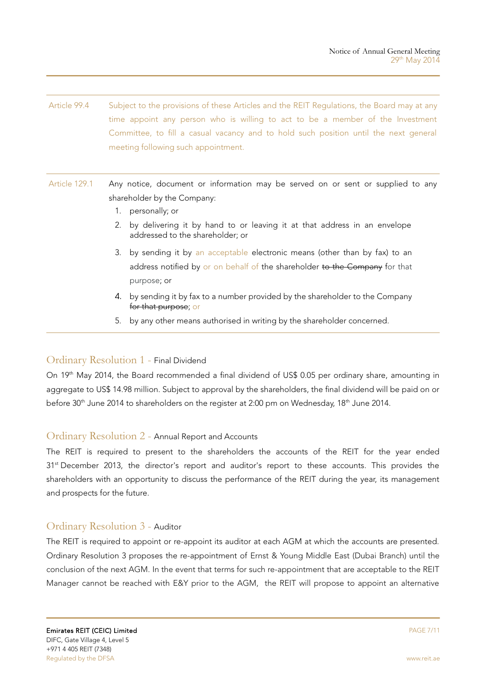- Article 99.4 Subject to the provisions of these Articles and the REIT Regulations, the Board may at any time appoint any person who is willing to act to be a member of the Investment Committee, to fill a casual vacancy and to hold such position until the next general meeting following such appointment.
- Article 129.1 Any notice, document or information may be served on or sent or supplied to any shareholder by the Company:
	- 1. personally; or
	- 2. by delivering it by hand to or leaving it at that address in an envelope addressed to the shareholder; or
	- 3. by sending it by an acceptable electronic means (other than by fax) to an address notified by or on behalf of the shareholder to the Company for that purpose; or
	- 4. by sending it by fax to a number provided by the shareholder to the Company for that purpose; or
	- 5. by any other means authorised in writing by the shareholder concerned.

#### Ordinary Resolution 1 - Final Dividend

On 19<sup>th</sup> May 2014, the Board recommended a final dividend of US\$ 0.05 per ordinary share, amounting in aggregate to US\$ 14.98 million. Subject to approval by the shareholders, the final dividend will be paid on or before 30<sup>th</sup> June 2014 to shareholders on the register at 2:00 pm on Wednesday, 18<sup>th</sup> June 2014.

#### Ordinary Resolution 2 - Annual Report and Accounts

The REIT is required to present to the shareholders the accounts of the REIT for the year ended 31<sup>st</sup> December 2013, the director's report and auditor's report to these accounts. This provides the shareholders with an opportunity to discuss the performance of the REIT during the year, its management and prospects for the future.

#### Ordinary Resolution 3 - Auditor

The REIT is required to appoint or re-appoint its auditor at each AGM at which the accounts are presented. Ordinary Resolution 3 proposes the re-appointment of Ernst & Young Middle East (Dubai Branch) until the conclusion of the next AGM. In the event that terms for such re-appointment that are acceptable to the REIT Manager cannot be reached with E&Y prior to the AGM, the REIT will propose to appoint an alternative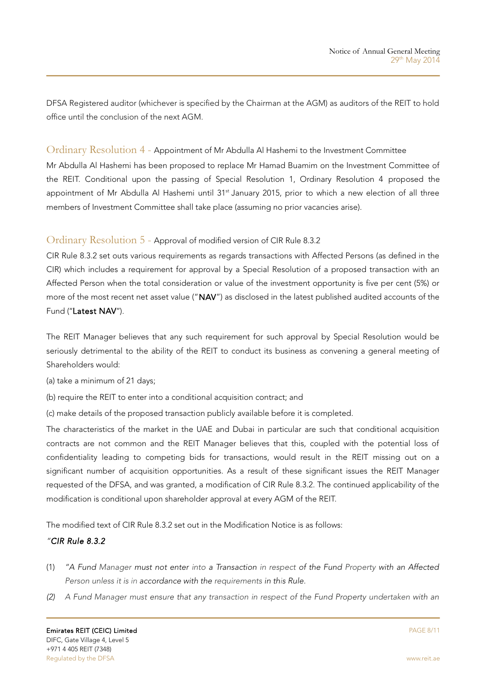DFSA Registered auditor (whichever is specified by the Chairman at the AGM) as auditors of the REIT to hold office until the conclusion of the next AGM.

#### Ordinary Resolution 4 - Appointment of Mr Abdulla Al Hashemi to the Investment Committee

Mr Abdulla Al Hashemi has been proposed to replace Mr Hamad Buamim on the Investment Committee of the REIT. Conditional upon the passing of Special Resolution 1, Ordinary Resolution 4 proposed the appointment of Mr Abdulla Al Hashemi until 31<sup>st</sup> January 2015, prior to which a new election of all three members of Investment Committee shall take place (assuming no prior vacancies arise).

### Ordinary Resolution 5 - Approval of modified version of CIR Rule 8.3.2

CIR Rule 8.3.2 set outs various requirements as regards transactions with Affected Persons (as defined in the CIR) which includes a requirement for approval by a Special Resolution of a proposed transaction with an Affected Person when the total consideration or value of the investment opportunity is five per cent (5%) or more of the most recent net asset value ("NAV") as disclosed in the latest published audited accounts of the Fund ("Latest NAV").

The REIT Manager believes that any such requirement for such approval by Special Resolution would be seriously detrimental to the ability of the REIT to conduct its business as convening a general meeting of Shareholders would:

(a) take a minimum of 21 days;

(b) require the REIT to enter into a conditional acquisition contract; and

(c) make details of the proposed transaction publicly available before it is completed.

The characteristics of the market in the UAE and Dubai in particular are such that conditional acquisition contracts are not common and the REIT Manager believes that this, coupled with the potential loss of confidentiality leading to competing bids for transactions, would result in the REIT missing out on a significant number of acquisition opportunities. As a result of these significant issues the REIT Manager requested of the DFSA, and was granted, a modification of CIR Rule 8.3.2. The continued applicability of the modification is conditional upon shareholder approval at every AGM of the REIT.

The modified text of CIR Rule 8.3.2 set out in the Modification Notice is as follows:

### "CIR Rule 8.3.2

- (1) "A Fund Manager must not enter into a Transaction in respect of the Fund Property with an Affected Person unless it is in accordance with the requirements in this Rule.
- (2) A Fund Manager must ensure that any transaction in respect of the Fund Property undertaken with an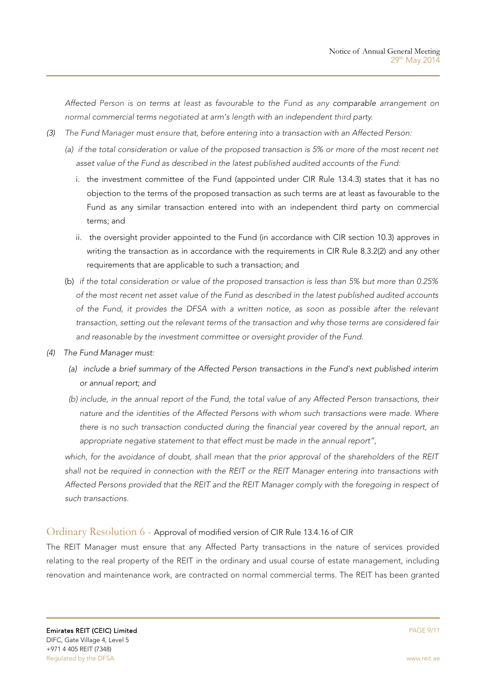Affected Person is on terms at least as favourable to the Fund as any comparable arrangement on normal commercial terms negotiated at arm's length with an independent third party.

- (3) The Fund Manager must ensure that, before entering into a transaction with an Affected Person:
	- (a) if the total consideration or value of the proposed transaction is 5% or more of the most recent net asset value of the Fund as described in the latest published audited accounts of the Fund:
		- i. the investment committee of the Fund (appointed under CIR Rule 13.4.3) states that it has no objection to the terms of the proposed transaction as such terms are at least as favourable to the Fund as any similar transaction entered into with an independent third party on commercial terms; and
		- ii. the oversight provider appointed to the Fund (in accordance with CIR section 10.3) approves in writing the transaction as in accordance with the requirements in CIR Rule 8.3.2(2) and any other requirements that are applicable to such a transaction; and
	- (b) if the total consideration or value of the proposed transaction is less than 5% but more than 0.25% of the most recent net asset value of the Fund as described in the latest published audited accounts of the Fund, it provides the DFSA with a written notice, as soon as possible after the relevant transaction, setting out the relevant terms of the transaction and why those terms are considered fair and reasonable by the investment committee or oversight provider of the Fund.
- (4) The Fund Manager must:
	- (a) include a brief summary of the Affected Person transactions in the Fund's next published interim or annual report; and
	- (b) include, in the annual report of the Fund, the total value of any Affected Person transactions, their nature and the identities of the Affected Persons with whom such transactions were made. Where there is no such transaction conducted during the financial year covered by the annual report, an appropriate negative statement to that effect must be made in the annual report",

which, for the avoidance of doubt, shall mean that the prior approval of the shareholders of the REIT shall not be required in connection with the REIT or the REIT Manager entering into transactions with Affected Persons provided that the REIT and the REIT Manager comply with the foregoing in respect of such transactions.

### Ordinary Resolution 6 - Approval of modified version of CIR Rule 13.4.16 of CIR

The REIT Manager must ensure that any Affected Party transactions in the nature of services provided relating to the real property of the REIT in the ordinary and usual course of estate management, including renovation and maintenance work, are contracted on normal commercial terms. The REIT has been granted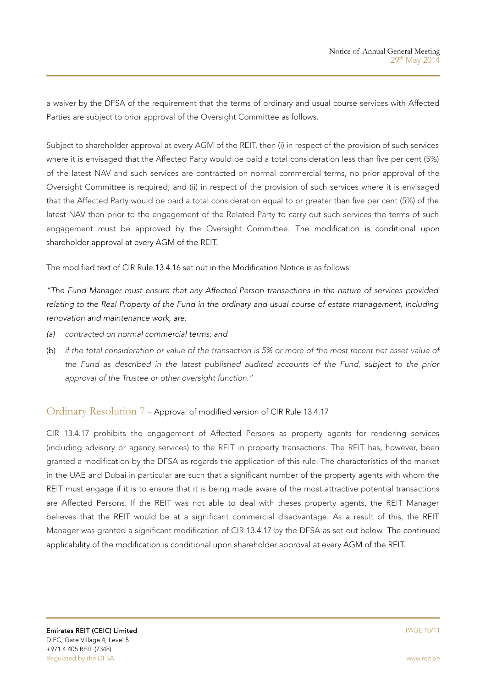a waiver by the DFSA of the requirement that the terms of ordinary and usual course services with Affected Parties are subject to prior approval of the Oversight Committee as follows.

Subject to shareholder approval at every AGM of the REIT, then (i) in respect of the provision of such services where it is envisaged that the Affected Party would be paid a total consideration less than five per cent (5%) of the latest NAV and such services are contracted on normal commercial terms, no prior approval of the Oversight Committee is required; and (ii) in respect of the provision of such services where it is envisaged that the Affected Party would be paid a total consideration equal to or greater than five per cent (5%) of the latest NAV then prior to the engagement of the Related Party to carry out such services the terms of such engagement must be approved by the Oversight Committee. The modification is conditional upon shareholder approval at every AGM of the REIT.

The modified text of CIR Rule 13.4.16 set out in the Modification Notice is as follows:

"The Fund Manager must ensure that any Affected Person transactions in the nature of services provided relating to the Real Property of the Fund in the ordinary and usual course of estate management, including renovation and maintenance work, are:

- (a) contracted on normal commercial terms; and
- (b) if the total consideration or value of the transaction is 5% or more of the most recent net asset value of the Fund as described in the latest published audited accounts of the Fund, subject to the prior approval of the Trustee or other oversight function."

#### Ordinary Resolution 7 - Approval of modified version of CIR Rule 13.4.17

CIR 13.4.17 prohibits the engagement of Affected Persons as property agents for rendering services (including advisory or agency services) to the REIT in property transactions. The REIT has, however, been granted a modification by the DFSA as regards the application of this rule. The characteristics of the market in the UAE and Dubai in particular are such that a significant number of the property agents with whom the REIT must engage if it is to ensure that it is being made aware of the most attractive potential transactions are Affected Persons. If the REIT was not able to deal with theses property agents, the REIT Manager believes that the REIT would be at a significant commercial disadvantage. As a result of this, the REIT Manager was granted a significant modification of CIR 13.4.17 by the DFSA as set out below. The continued applicability of the modification is conditional upon shareholder approval at every AGM of the REIT.